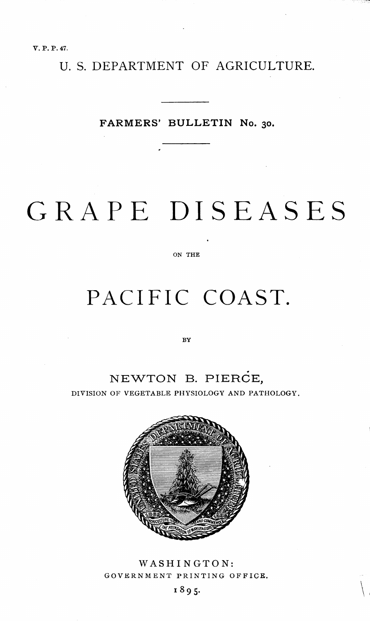V. P. P. 47.

U. S. DEPARTMENT OF AGRICULTURE.

**FARMERS' BULLETIN No. 30.**

# GRAPE DISEASES

ON THE

## PACIFIC COAST.

BY

**NEWTON B. PIERCE,** DIVISION OF VEGETABLE PHYSIOLOGY AND PATHOLOGY.



**WASHINGTON:** GOVERNMENT PRINTING OFFICE.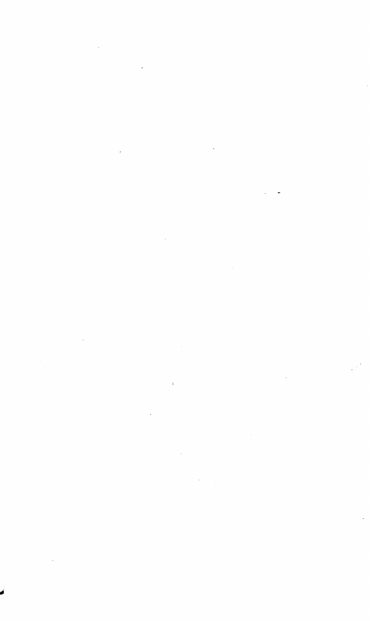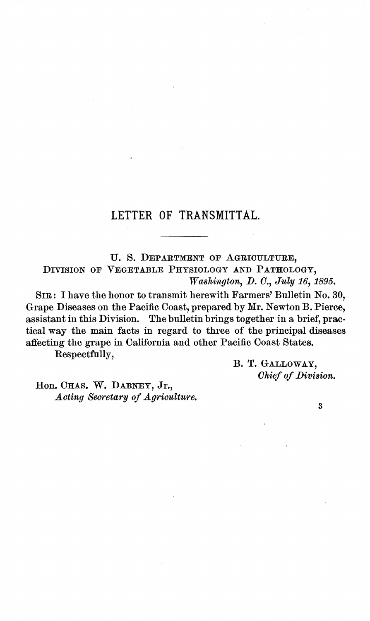### **LETTER OF TRANSMITTAL.**

U. S. DEPARTMENT OF AGRICULTURE, DIVISION OF VEGETABLE PHYSIOLOGY AND PATHOLOGY, *Washington,* D. 0., *July 16,1895.*

SIR: I have the honor to transmit herewith Farmers' Bulletin No. 30, Grape Diseases on the Pacific Coast, prepared by Mr. Newton B. Pierce, assistant in this Division. The bulletin brings together in a brief, practical way the main facts in regard to three of the principal diseases affecting the grape in California and other Pacific Coast States.

Respectfully,

B. T. GALLOWAY, *Chief of Division.*

Hon. CHAS. W. DABNEY, Jr., *Acting Secretary of Agriculture.*

3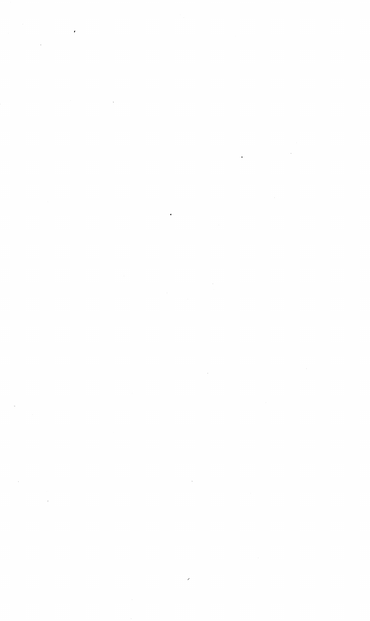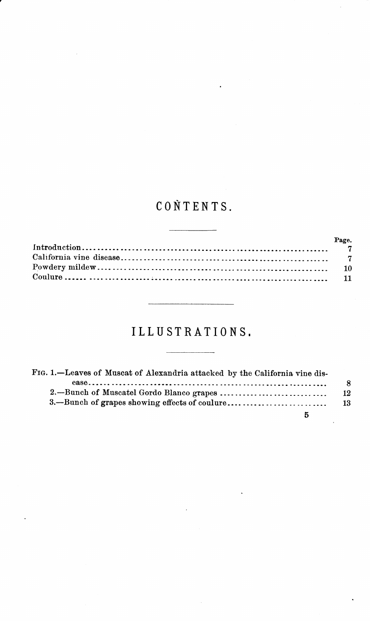## **CONTENTS.**

| $P8$ $\sigma6$ . |
|------------------|
|                  |
|                  |
|                  |
|                  |
|                  |

## **ILLUSTRATIONS.**

| FIG. 1.-Leaves of Muscat of Alexandria attacked by the California vine dis- |      |
|-----------------------------------------------------------------------------|------|
|                                                                             | -8   |
|                                                                             | - 12 |
|                                                                             | 13   |
|                                                                             |      |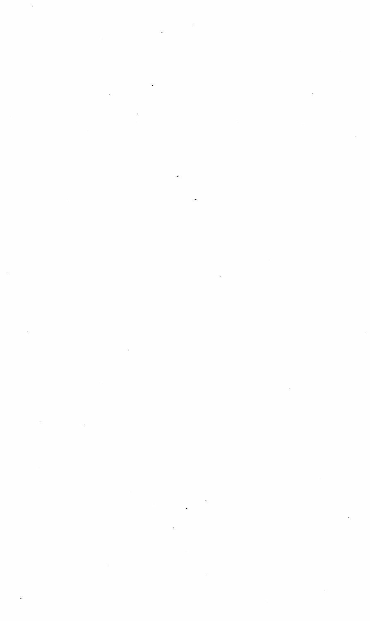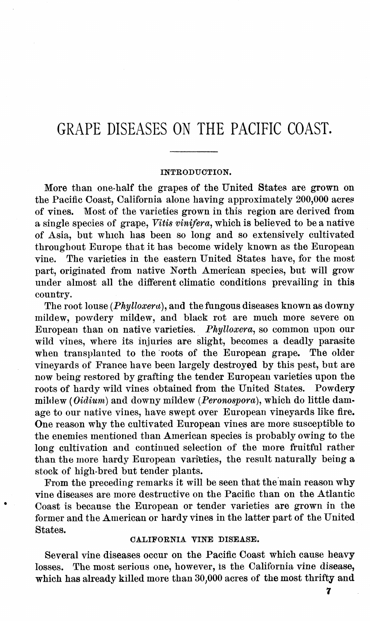## GRAPE DISEASES ON THE PACIFIC COAST.

#### **INTBODUCTION.**

More than one-half the grapes of the United States are grown on the Pacific Coast, California alone having approximately 200,000 acres of vines. Most of the varieties grown in this region are derived from a single species of grape, *Vitis vinifera,* which is believed to be a native of Asia, but which has been so long and so extensively cultivated throughout Europe that it has become widely known as the European<br>vine. The varieties in the eastern United States have, for the most The varieties in the eastern United States have, for the most part, originated from native North American species, but will grow under almost all the different climatic conditions prevailing in this country.

The root louse *(Phylloxéra),* and the fungous diseases known as downy mildew, powdery mildew, and black rot are much more severe on European than on native varieties. *Phylloxera,* so common upon our wild vines, where its injuries are slight, becomes a deadly parasite when transplanted to the roots of the European grape. The older when transplanted to the roots of the European grape. vineyards of France have been largely destroyed by this pest, but are now being restored by grafting the tender European varieties upon the roots of hardy wild vines obtained from the United States. Powdery roots of hardy wild vines obtained from the United States. mildew *(Oidium)* and downy mildew *(Peronospora),* which do little damage to our native vines, have swept over European vineyards like fire. One reason why the cultivated European vines are more susceptible to the enemies mentioned than American species is probably owing to the long cultivation and continued selection of the more fruitful rather than the more hardy European varieties, the result naturally being a stock of high-bred but tender plants.

From the preceding remarks it will be seen that the main reason why vine diseases are more destructive on the Pacific than on the Atlantic Coast is because the European or tender varieties are grown in the former and the American or hardy vines in the latter part of the United States.

#### **CALIFORNIA VINE DISEASE.**

Several vine diseases occur on the Pacific Coast which cause heavy losses. The most serious one, however, is the California vine disease, which has already killed more than 30,000 acres of the most thrifty and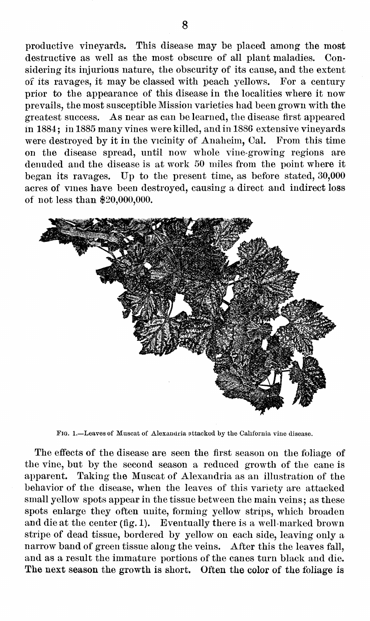productive vineyards. This disease may be placed among the most destructive as well as the most obscure of all plant maladies. Considering its injurious nature, the obscurity of its cause, and the extent of its ravages, it may be classed with peach yellows. For a century prior to the appearance of this disease in the localities where it now prevails, the most susceptible Mission varieties had been grown with the greatest success. As near as can be learned, the disease first appeared As near as can be learned, the disease first appeared in 1884; in 1885 many vines were killed, and in 1886 extensive vineyards were destroyed by it in the vicinity of Anaheim, Gal. From this time on the disease spread, until now whole vine-growing regions are denuded and the disease is at work 50 miles from the point where it began its ravages. Up to the present time, as before stated, 30,000 acres of vines have been destroyed, causing a direct and indirect loss of not less than \$20,000,000.



FIG. 1.—Leaves of Muscat of Alexandria attacked by the California vine disease.

The effects of the disease are seen the first season on the foliage of the vine, but by the second season a reduced growth of the cane is apparent. Taking the Muscat of Alexandria as an illustration of the behavior of the disease, when the leaves of this variety are attacked small yellow spots appear in the tissue between the main veins; as these spots enlarge they often unite, forming yellow strips, which broaden and die at the center (fig. 1). Eventually there is a well-marked brown stripe of dead tissue, bordered by yellow on each side, leaving only a narrow band of green tissue along the veins. After this the leaves fall, and as a result the immature portions of the canes turn black and die. The next season the growth is short. Often the **color** of the foliage is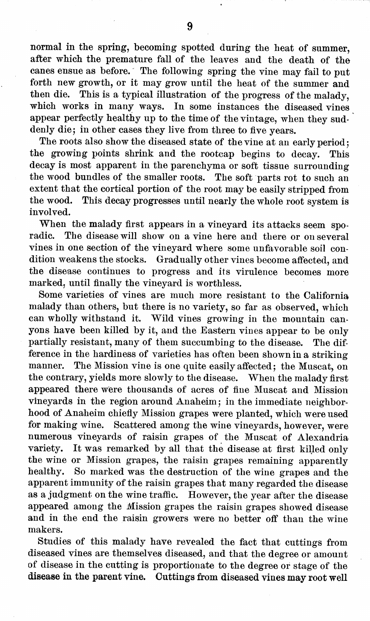normal in the spring, becoming spotted during the heat of summer, after which the premature fall of the leaves and the death of the canes ensue as before. The following spring the vine may fail to put forth new growth, or it may grow until the heat of the summer and then die. This is a typical illustration of the progress of the malady, which works in many ways. In some instances the diseased vines appear perfectly healthy up to the time of the vintage, when they suddenly die; in other cases they live from three to five years.

The roots also show the diseased state of the vine at an early period; the growing points shrink and the rootcap begins to decay. This decay is most apparent in the parenchyma or soft tissue surrounding the wood bundles of the smaller roots. The soft parts rot to such an extent that the cortical portion of the root may be easily stripped from the wood. This decay progresses until nearly the whole root system is involved.

When the malady first appears in a vineyard its attacks seem spo-<br>radic. The disease will show on a vine here and there or on several The disease will show on a vine here and there or on several vines in one section of the vineyard where some unfavorable soil condition weakens the stocks. Gradually other vines become affected, and the disease continues to progress and its virulence becomes more marked, until finally the vineyard is worthless.

Some varieties of vines are much more resistant to the California malady than others, but there is no variety, so far as observed, which can wholly withstand it. Wild vines growing in the mountain canyons have been killed by it, and the Eastern vines appear to be only partially resistant, many of them succumbing to the disease. The difference in the hardiness of varieties has often been shown in a striking manner. The Mission vine is one quite easily affected ; the Muscat, on the contrary, yields more slowly to the disease. When the malady first appeared there were thousands of acres of fine Muscat and Mission vineyards in the region around Anaheim ; in the immediate neighborhood of Anaheim chiefly Mission grapes were planted, which were used for making wine. Scattered among the wine vineyards, however, were numerous vineyards of raisin grapes of the Muscat of Alexandria<br>variety. It was remarked by all that the disease at first killed only It was remarked by all that the disease at first killed only the wine or Mission grapes, the raisin grapes remaining apparently<br>healthy. So marked was the destruction of the wine grapes and the So marked was the destruction of the wine grapes and the apparent immunity of the raisin grapes that many regarded the disease as a judgment on the wine traffic. However, the year after the disease appeared among the Mission grapes the raisin grapes showed disease and in the end the raisin growers were no better off than the wine makers.

Studies of this malady have revealed the fact that cuttings from diseased vines are themselves diseased, and that the degree or amount of disease in the cutting is proportionate to the degree or stage of the disease in the parent vine. Cuttings from diseased vines may root well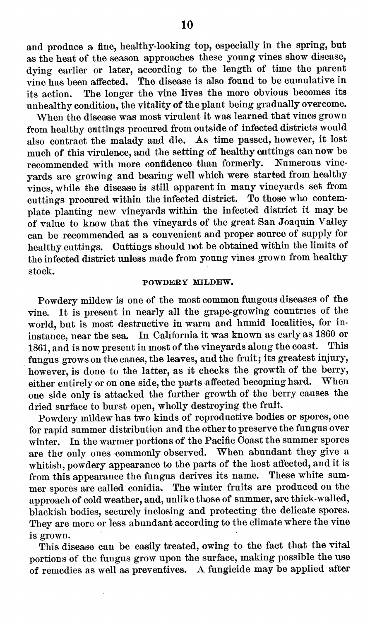and produce a fine, healthy-looking top, especially in the spring, but as the heat of the season approaches these young vines show disease, dying earlier or later, according to the length of time the parent vine has been affected. The disease is also found to be cumulative in its action. The longer the vine lives the more obvious becomes its unhealthy condition, the vitality of the plant being gradually overcome.

When the disease was most virulent it was learned that vines grown from healthy cuttings procured from outside of infected districts would also contract the malady and die. As time passed, however, it lost much of this virulence, and the setting of healthy cuttings can now be recommended with more confidence than formerly. Numerous vinerecommended with more confidence than formerly. yards are growing and bearing well which were started from healthy vines, while the disease is still apparent in many vineyards set from cuttings procured within the infected district. To those who contemplate planting new vineyards within the infected district it may be of value to know that the vineyards of the great San Joaquin Valley can be recommended as a convenient and proper source of supply for healthy cuttings. Cuttings should not be obtained within the limits of the infected district unless made from young vines grown from healthy stock.

#### **POWDERY MILDEW.**

Powdery mildew is one of the most common fungous diseases of the vine. It is present in nearly all the grape-growing countries of the world, but is most destructive in warm and humid localities, for ininstance, near the sea. In California it was known as early as 1860 or  $1861$ , and is now present in most of the vineyards along the coast. fungus grows on the canes, the leaves, and the fruit; its greatest injury, however, is done to the latter, as it checks the growth of the berry, either entirely or on one side, the parts affected becoming hard. When either entirely or on one side, the parts affected becoming hard. one side only is attacked the further growth of the berry causes the dried surface to burst open, wholly destroying the fruit.

Powdery mildew has two kinds of reproductive bodies or spores, one for rapid summer distribution and the other to preserve the fungus over winter. In the warmer portions of the Pacific Coast the summer spores are the only ones commonly observed. When abundant they give a whitish, powdery appearance to the parts of the host affected, and it is<br>from this appearance the fungus derives its name. These white sumfrom this appearance the fungus derives its name. mer spores are called conidia. The winter fruits are produced on the approach of cold weather, and, unlike those of summer, are thick-walled, blackish bodies, securely inclosing and protecting the delicate spores. They are more or less abundant according to the climate where the vine is grown.

This disease can be easily treated, owing to the fact that the vital portions of the fungus grow upon the surface, making possible the use of remedies as well as preventives. A fungicide may be applied after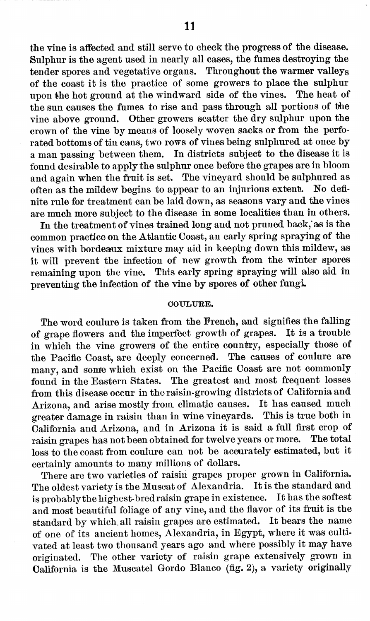the vine is affected and still serve to check the progress of the disease. Sulphur is the agent used in nearly all cases, the fumes destroying the tender spores and vegetative organs. Throughout the warmer valleys of the coast it is the practice of some growers to place the sulphur<br>upon the hot ground at the windward side of the vines. The heat of upon the hot ground at the windward side of the vines. the sun causes the fumes to rise and pass through all portions of the vine above ground. Other growers scatter the dry sulphur upon the crown of the vine by means of loosely woven sacks or from the perforated bottoms of tin cans, two rows of vines being sulphured at once by a man passing between them. In districts subject to the disease it is found desirable to apply the sulphur once before the grapes are in bloom and again when the fruit is set. The vineyard should be sulphured as often as the mildew begins to appear to an injurious extent?. No definite rule for treatment can be laid down, as seasons vary and the vines are much more subject to the disease in some localities than in others.

In the treatment of vines trained long and not pruned back, as is the common practice on the Atlantic Coast, an early spring spraying of the vines with bordeaux mixture may aid in keeping down this mildew, as it will prevent the infection of new growth from the winter spores remaining upon the vine. This early spring spraying will also aid in preventing the infection of the vine by spores of other fungi.

#### **COULURE.**

The word coulure is taken from the French, and signifies the falling of grape flowers and the imperfect growth of grapes. It is a trouble in which the vine growers of the entire country, especially those of the Pacific Coast, are deeply concerned. The causes of coulure are many, and some which exist on the Pacific Coast are not commonly found in the Eastern States. The greatest and most frequent losses from this disease occur in the raisin-growing districts of California and Arizona, and arise mostly from, climatic causes. It has caused much greater damage in raisin than in wine vineyards. This is true both in California and Arizona, and in Arizona it is said a full first crop of raisin grapes has not been obtained for twelve years or more. loss to the coast from coulure can not be accurately estimated, but it certainly amounts to many millions of dollars.

There are two varieties of raisin grapes proper grown in California. The oldest variety is the Muscat of Alexandria. It is the standard and is probablythe highest-bredraisin grape in existence. It has the softest and most beautiful foliage of any vine, and the flavor of its fruit is the standard by which, all raisin grapes are estimated. It bears the name of one of its ancient homes, Alexandria, in Egypt, where it was cultivated at least two thousand years ago and where possibly it may have originated. The other variety of raisin grape extensively grown in California is the Muscatel Gordo Blanco (fig. 2), a variety originally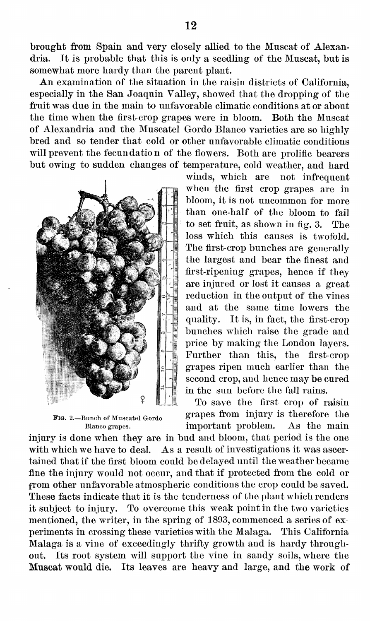brought from Spain and very closely allied to the Muscat of Alexandria. It is probable that this is only a seedling of the Muscat, but is somewhat more hardy than the parent plant.

An examination of the situation in the raisin districts of California, especially in the San Joaquin Valley, showed that the dropping of the fruit was due in the main to unfavorable climatic conditions at or about the time when the first crop grapes were in bloom. Both the Muscat the time when the first-crop grapes were in bloom. of Alexandria and the Muscatel Gordo Blanco varieties are so highly bred and so tender that cold or other unfavorable climatic conditions will prevent the fecundation of the flowers. Both are prolific bearers but owing to sudden changes of temperature, cold weather, and hard



FIG. 2.—Bunch of Muscatel Gordo Blanco grapes.

winds, which are not infrequent when the first crop grapes are in bloom, it is not uncommon for more than one-half of the bloom to fail to set fruit, as shown in fig. 3. The loss which this causes is twofold. The first-crop bunches are generally the largest and bear the finest and first-ripening grapes, hence if they are injured or lost it causes a great reduction in the output of the vines and at the same time lowers the quality. It is, in fact, the first-crop bunches which raise the grade and price by making the London layers. Further than this, the first-crop grapes ripen much earlier than the second crop, and hence may be cured in the sun before the fall rains.

To save the first crop of raisin grapes from injury is therefore the important problem. As the main

injury is done when they are in bud and bloom, that period is the one with which we have to deal. As a result of investigations it was ascer-As a result of investigations it was ascertained thatif the first bloom could be delayed until the weather became fine the injury would not occur, and that if protected from the cold or from other unfavorable atmospheric conditions the crop could be saved. These facts indicate that it is the tenderness of the plant which renders it subject to injury. To overcome this weak point in the two varieties mentioned, the writer, in the spring of 1893, commenced a series of experiments in crossing these varieties with the Malaga. This California Malaga is a vine of exceedingly thrifty growth and is hardy throughout. Its root system will support the vine in sandy soils, where the Muscat would die. Its leaves are heavy and large, and the work of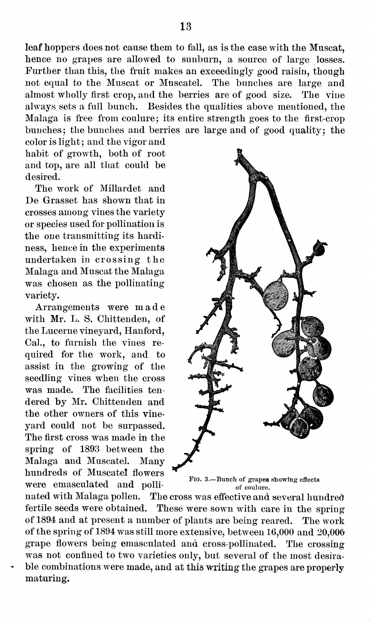leaf hoppers does not cause them to fall, as is the case with the Muscat, hence no grapes are allowed to sunburn, a source of large losses. Further than this, the fruit makes an exceedingly good raisin, though not equal to the Muscat or Muscatel. The bunches are large and almost wholly first crop, and the berries are of good size. The vine always sets a full bunch. Besides the qualities above mentioned, the Malaga is free from coulure; its entire strength goes to the first-crop bunches; the bunches and berries are large and of good quality; the

color is light; and the vigor and habit of growth, both of root and top, are all that could be desired.

The work of Millardet and De Grasset has shown that in crosses among vinesthe variety or species used for pollination is the one transmitting its hardiness, hence in the experiments undertaken in crossing the Malaga and Muscatthe Malaga was chosen as the pollinating variety.

Arrangements were made with Mr. L. S. Ohittenden, of the Lucerne vineyard, Hanford, Cal., to furnish the vines required for the work, and to assist in the growing of the seedling vines when the cross was made. The facilities tendered by Mr. Ohittenden and the other owners of this vineyard could not be surpassed. The first cross was made in the spring of 1893 between the Malaga and Muscatel. Many hundreds of Muscatel flowers were emasculated and polli-



FIG. 3.-Bunch of grapes showing effects<br>of coulure.

nated with Malaga pollen. The cross was effective and several hundred<br>fertile seeds were obtained. These were sown with care in the spring These were sown with care in the spring of 1894 and at present a number of plants are being reared. The work of the spring of 1894 was still more extensive, between 16,000 and 20,000 grape flowers being emasculated and cross-pollinated. The crossing was not confined to two varieties only, but several of the most desirable combinations were made, and at this writing the grapes are properly maturing.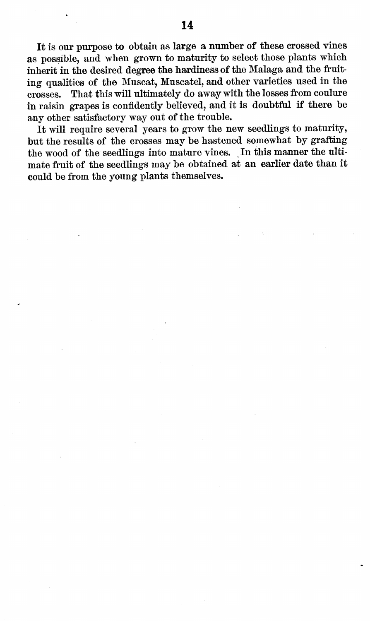It is our purpose to obtain as large a number of these crossed vines as possible, and when grown to maturity to select those plants which inherit in the desired degree the hardiness of the Malaga and the fruiting qualities of the Muscat, Muscatel, and other varieties used in the crosses. That this will ultimately do away with the losses from coulure That this will ultimately do away with the losses from coulure in raisin grapes is confidently believed, and it is doubtful if there be any other satisfactory way out of the trouble.

It will require several years to grow the new seedlings to maturity, but the results of the crosses may be hastened somewhat by grafting the wood of the seedlings into mature vines. In this manner the ultimate fruit of the seedlings may be obtained at an earlier date than it could be from the young plants themselves.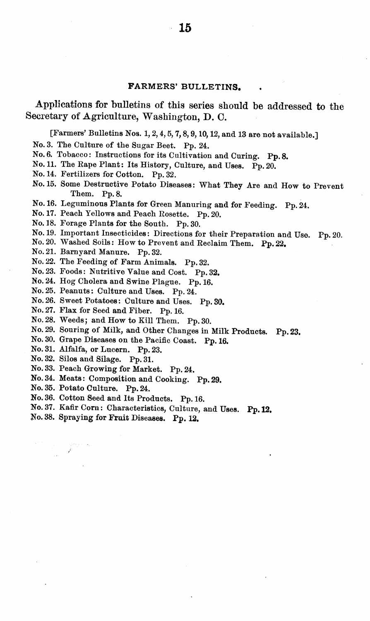#### **FARMERS' BULLETINS.**

Applications for bulletins of this series should be addressed to the Secretary of Agriculture, Washington, D. 0.

[Farmers' Bulletins Nos. 1,*2,*4,5, 7,8,9,10,12, and <sup>13</sup> are not available.]

- No. 3. The Culture of the Sugar Beet. Pp. 24.
- No. 6. Tobacco: Instructions for its Cultivation and Curing. Pp. 8.
- No. 11. The Rape Plant: Its History, Culture, and Uses. Pp. 20.
- No. 14. Fertilizers for Cotton. Pp. 32.
- No. 15. Some Destructive Potato Diseases : What They Are and How to Prevent Them. Pp. 8.
- No. 16. Leguminous Plants for Green Manuring and for Feeding. Pp. 24.
- No. 17. Peach Yellows and Peach Rosette. Pp. 20.
- No. 18. Forage Plants for the South. Pp. 30.
- No. 19. Important Insecticides : Directions for their Preparation and Use. Pp. 20.
- No. 20. Washed Soils : How to Prevent and Reclaim Them. Pp. 22,
- No.21. Barnyard Manure. Pp.32.
- No. 22. The Feeding of Farm Animals. Pp. 32.
- No. 23. Foods : Nutritive Value and Cost. Pp. 32.
- No. 24. Hog Cholera and Swine Plague. Pp. 16.
- No.25. Peanuts: Culture and Uses. Pp.24.
- No. 26. Sweet Potatoes: Culture and Uses. Pp. 30.
- No. 27. Flax for Seed and Fiber. Pp. 16.
- No. 28. Weeds; and How to Kill Them. Pp. 30.
- No. 29. Souring of Milk, and Other Changes in Milk Products. Pp. 23.
- No. 30. Grape Diseases on the Pacific Coast. Pp. 16.
- No. 31. Alfalfa, or Lucern. Pp. 23.
- No. 32. Silos and Silage. Pp. 31.
- No. 33. Peach Growing for Market. Pp. 24.
- No. 34. Meats : Composition and Cooking. Pp. 29.
- No. 35. Potato Culture. Pp. 24.
- No. 36. Cotton Seed and Its Products. Pp. 16.
- No. 37. Kafir Corn : Characteristics, Culture, and Uses. Pp. 12.
- No. 38. Spraying for Fruit Diseases. **Pp. 12.**